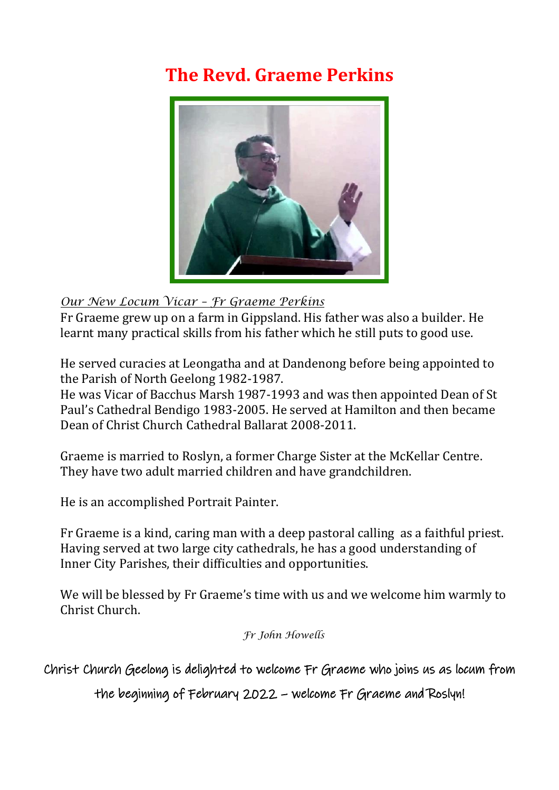## **The Revd. Graeme Perkins**



## *Our New Locum Vicar – Fr Graeme Perkins*

Fr Graeme grew up on a farm in Gippsland. His father was also a builder. He learnt many practical skills from his father which he still puts to good use.

He served curacies at Leongatha and at Dandenong before being appointed to the Parish of North Geelong 1982-1987.

He was Vicar of Bacchus Marsh 1987-1993 and was then appointed Dean of St Paul's Cathedral Bendigo 1983-2005. He served at Hamilton and then became Dean of Christ Church Cathedral Ballarat 2008-2011.

Graeme is married to Roslyn, a former Charge Sister at the McKellar Centre. They have two adult married children and have grandchildren.

He is an accomplished Portrait Painter.

Fr Graeme is a kind, caring man with a deep pastoral calling as a faithful priest. Having served at two large city cathedrals, he has a good understanding of Inner City Parishes, their difficulties and opportunities.

We will be blessed by Fr Graeme's time with us and we welcome him warmly to Christ Church.

*Fr John Howells*

Christ Church Geelong is delighted to welcome Fr Graeme who joins us as locum from

the beginning of February 2022 – welcome Fr Graeme and Roslyn!